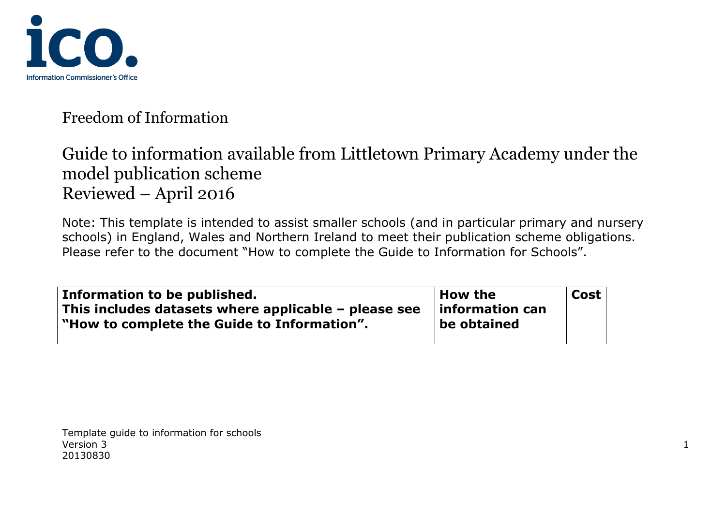

# Guide to information available from Littletown Primary Academy under the model publication scheme Reviewed – April 2016

Note: This template is intended to assist smaller schools (and in particular primary and nursery schools) in England, Wales and Northern Ireland to meet their publication scheme obligations. Please refer to the document "How to complete the Guide to Information for Schools".

| Information to be published.                           | <b>How the</b>  | <b>Cost</b> |
|--------------------------------------------------------|-----------------|-------------|
| This includes datasets where applicable $-$ please see | information can |             |
| "How to complete the Guide to Information".            | be obtained     |             |
|                                                        |                 |             |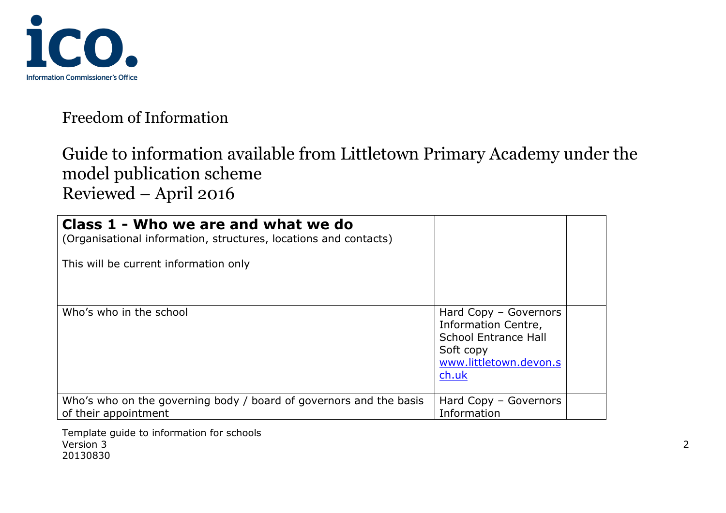

# Guide to information available from Littletown Primary Academy under the model publication scheme Reviewed – April 2016

| Class 1 - Who we are and what we do<br>(Organisational information, structures, locations and contacts)<br>This will be current information only |                                                                                                                             |  |
|--------------------------------------------------------------------------------------------------------------------------------------------------|-----------------------------------------------------------------------------------------------------------------------------|--|
| Who's who in the school                                                                                                                          | Hard Copy - Governors<br>Information Centre,<br><b>School Entrance Hall</b><br>Soft copy<br>www.littletown.devon.s<br>ch.uk |  |
| Who's who on the governing body / board of governors and the basis<br>of their appointment                                                       | Hard Copy - Governors<br>Information                                                                                        |  |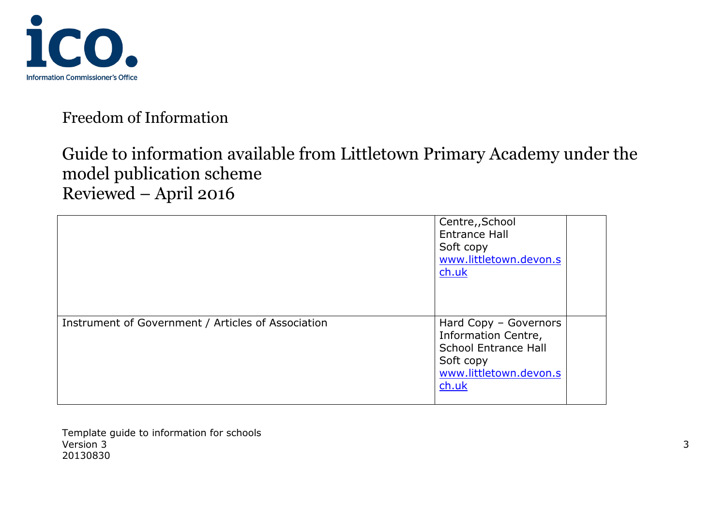

# Guide to information available from Littletown Primary Academy under the model publication scheme Reviewed – April 2016

|                                                    | Centre,, School<br><b>Entrance Hall</b><br>Soft copy<br>www.littletown.devon.s<br>$ch.$ uk                                  |  |
|----------------------------------------------------|-----------------------------------------------------------------------------------------------------------------------------|--|
| Instrument of Government / Articles of Association | Hard Copy - Governors<br>Information Centre,<br><b>School Entrance Hall</b><br>Soft copy<br>www.littletown.devon.s<br>ch.uk |  |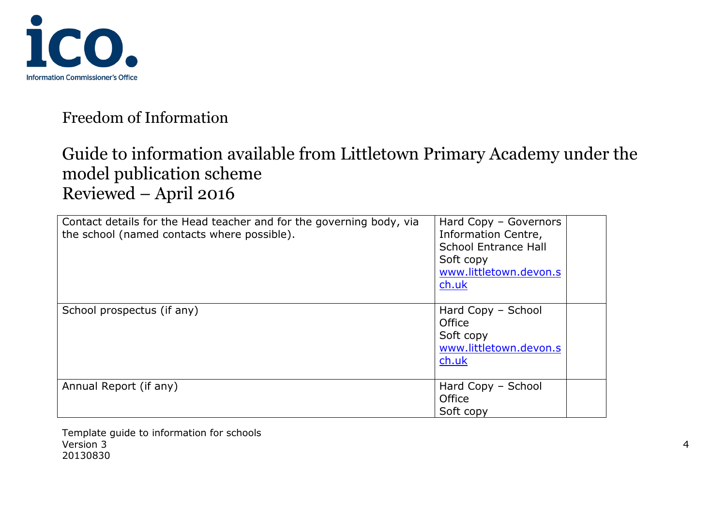

# Guide to information available from Littletown Primary Academy under the model publication scheme Reviewed – April 2016

| Contact details for the Head teacher and for the governing body, via<br>the school (named contacts where possible). | Hard Copy - Governors<br>Information Centre,<br>School Entrance Hall<br>Soft copy<br>www.littletown.devon.s<br>ch.uk |  |
|---------------------------------------------------------------------------------------------------------------------|----------------------------------------------------------------------------------------------------------------------|--|
| School prospectus (if any)                                                                                          | Hard Copy - School<br>Office<br>Soft copy<br>www.littletown.devon.s<br>ch.uk                                         |  |
| Annual Report (if any)                                                                                              | Hard Copy - School<br>Office<br>Soft copy                                                                            |  |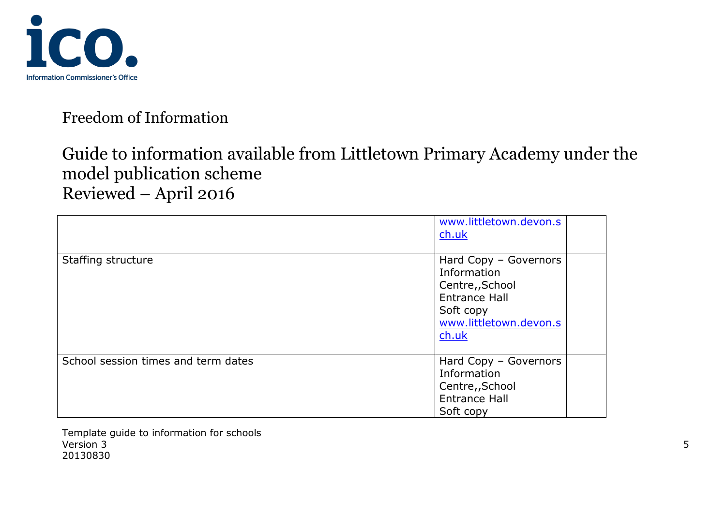

# Guide to information available from Littletown Primary Academy under the model publication scheme Reviewed – April 2016

|                                     | www.littletown.devon.s<br>$ch.$ uk                                                                                              |
|-------------------------------------|---------------------------------------------------------------------------------------------------------------------------------|
| Staffing structure                  | Hard Copy - Governors<br>Information<br>Centre,, School<br><b>Entrance Hall</b><br>Soft copy<br>www.littletown.devon.s<br>ch.uk |
| School session times and term dates | Hard Copy - Governors<br>Information<br>Centre,, School<br><b>Entrance Hall</b><br>Soft copy                                    |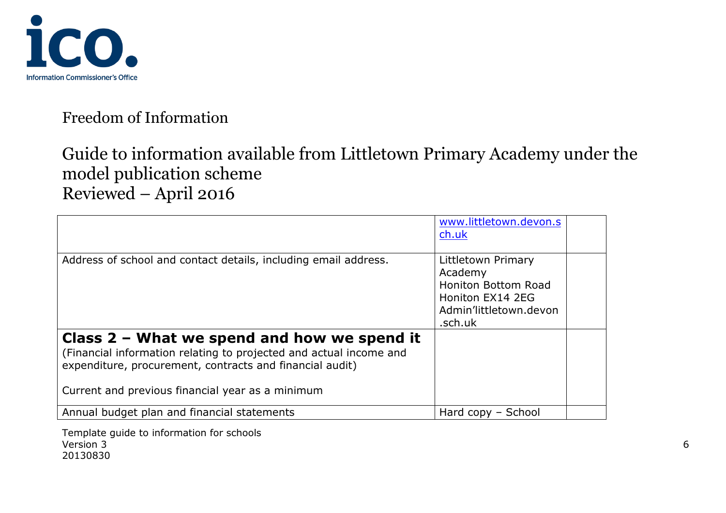

# Guide to information available from Littletown Primary Academy under the model publication scheme Reviewed – April 2016

|                                                                                                                                                                                                                                     | www.littletown.devon.s<br>ch.uk                                                                                      |  |
|-------------------------------------------------------------------------------------------------------------------------------------------------------------------------------------------------------------------------------------|----------------------------------------------------------------------------------------------------------------------|--|
| Address of school and contact details, including email address.                                                                                                                                                                     | Littletown Primary<br>Academy<br><b>Honiton Bottom Road</b><br>Honiton EX14 2EG<br>Admin'littletown.devon<br>.sch.uk |  |
| Class $2$ – What we spend and how we spend it<br>(Financial information relating to projected and actual income and<br>expenditure, procurement, contracts and financial audit)<br>Current and previous financial year as a minimum |                                                                                                                      |  |
| Annual budget plan and financial statements                                                                                                                                                                                         | Hard copy - School                                                                                                   |  |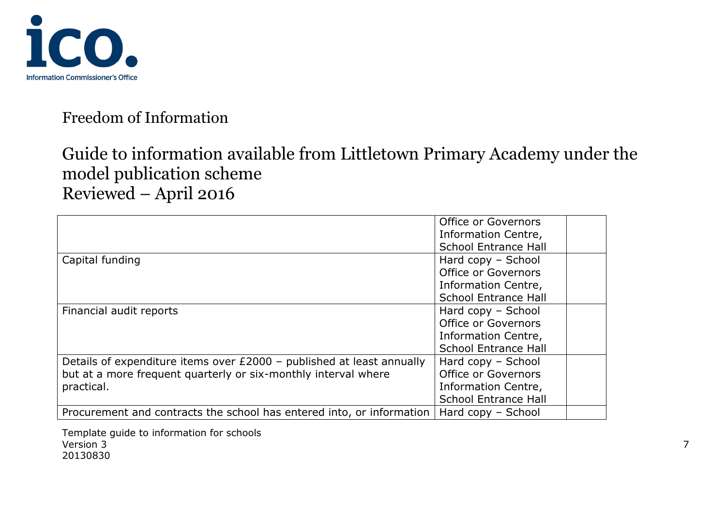

# Guide to information available from Littletown Primary Academy under the model publication scheme Reviewed – April 2016

|                                                                       | Office or Governors         |
|-----------------------------------------------------------------------|-----------------------------|
|                                                                       | Information Centre,         |
|                                                                       | <b>School Entrance Hall</b> |
| Capital funding                                                       | Hard copy - School          |
|                                                                       | <b>Office or Governors</b>  |
|                                                                       | Information Centre,         |
|                                                                       | <b>School Entrance Hall</b> |
| Financial audit reports                                               | Hard copy - School          |
|                                                                       | Office or Governors         |
|                                                                       | Information Centre,         |
|                                                                       | <b>School Entrance Hall</b> |
| Details of expenditure items over £2000 - published at least annually | Hard copy - School          |
| but at a more frequent quarterly or six-monthly interval where        | Office or Governors         |
| practical.                                                            | Information Centre,         |
|                                                                       | <b>School Entrance Hall</b> |
| Procurement and contracts the school has entered into, or information | Hard copy – School          |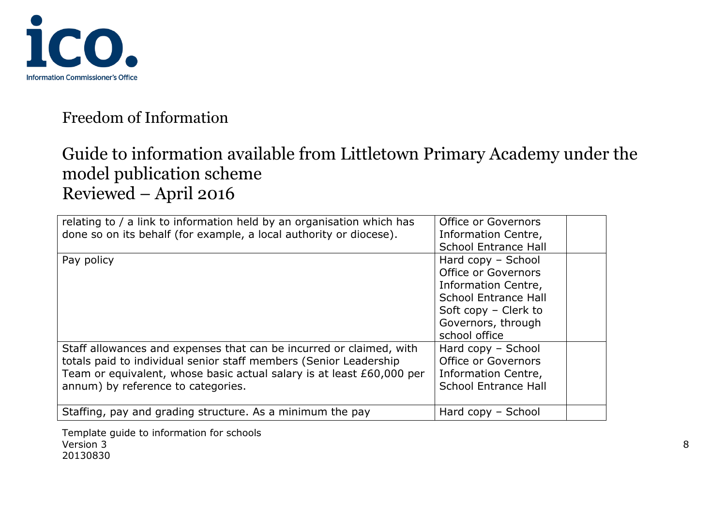

# Guide to information available from Littletown Primary Academy under the model publication scheme Reviewed – April 2016

| relating to / a link to information held by an organisation which has<br>done so on its behalf (for example, a local authority or diocese).                                                                                                             | Office or Governors<br>Information Centre,<br><b>School Entrance Hall</b>                                                                                      |
|---------------------------------------------------------------------------------------------------------------------------------------------------------------------------------------------------------------------------------------------------------|----------------------------------------------------------------------------------------------------------------------------------------------------------------|
| Pay policy                                                                                                                                                                                                                                              | Hard copy - School<br><b>Office or Governors</b><br>Information Centre,<br>School Entrance Hall<br>Soft copy - Clerk to<br>Governors, through<br>school office |
| Staff allowances and expenses that can be incurred or claimed, with<br>totals paid to individual senior staff members (Senior Leadership<br>Team or equivalent, whose basic actual salary is at least £60,000 per<br>annum) by reference to categories. | Hard copy - School<br>Office or Governors<br>Information Centre,<br><b>School Entrance Hall</b>                                                                |
| Staffing, pay and grading structure. As a minimum the pay                                                                                                                                                                                               | Hard copy - School                                                                                                                                             |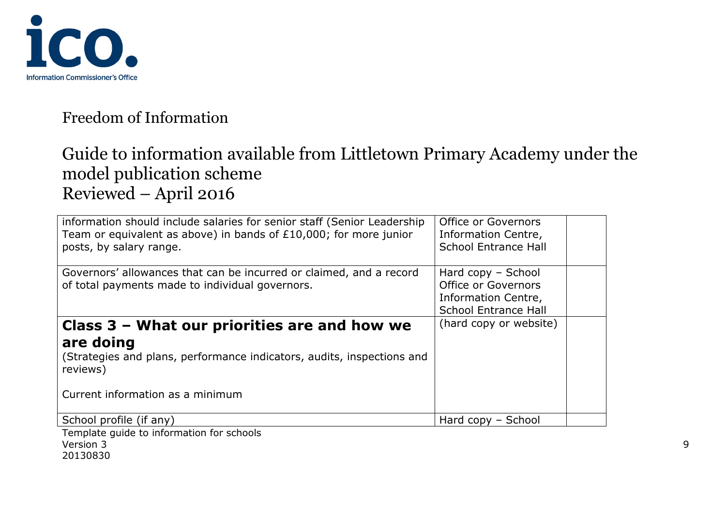

# Guide to information available from Littletown Primary Academy under the model publication scheme Reviewed – April 2016

| information should include salaries for senior staff (Senior Leadership<br>Team or equivalent as above) in bands of $£10,000$ ; for more junior<br>posts, by salary range.          | Office or Governors<br>Information Centre,<br><b>School Entrance Hall</b>                                |  |
|-------------------------------------------------------------------------------------------------------------------------------------------------------------------------------------|----------------------------------------------------------------------------------------------------------|--|
| Governors' allowances that can be incurred or claimed, and a record<br>of total payments made to individual governors.                                                              | Hard $copy - School$<br><b>Office or Governors</b><br>Information Centre,<br><b>School Entrance Hall</b> |  |
| Class 3 - What our priorities are and how we<br>are doing<br>(Strategies and plans, performance indicators, audits, inspections and<br>reviews)<br>Current information as a minimum | (hard copy or website)                                                                                   |  |
| School profile (if any)                                                                                                                                                             | Hard copy – School                                                                                       |  |
| Template quide to information for schools                                                                                                                                           |                                                                                                          |  |

alde to information Version 3 9 20130830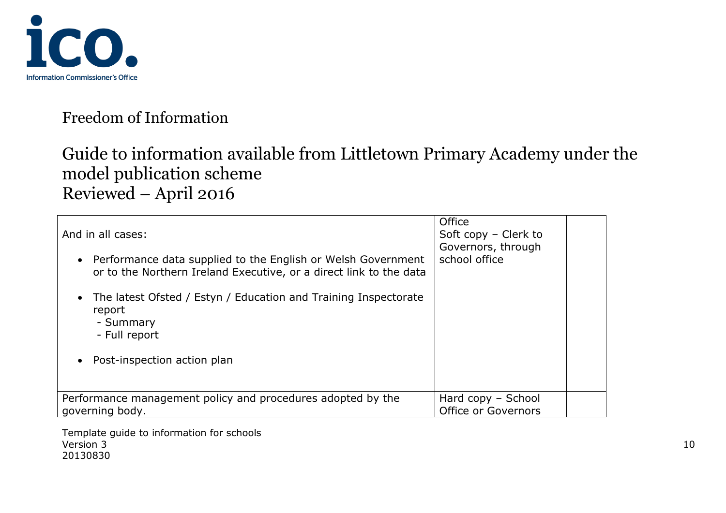

# Guide to information available from Littletown Primary Academy under the model publication scheme Reviewed – April 2016

| And in all cases:                                                                                                                               | Office<br>Soft copy - Clerk to            |  |
|-------------------------------------------------------------------------------------------------------------------------------------------------|-------------------------------------------|--|
| Performance data supplied to the English or Welsh Government<br>$\bullet$<br>or to the Northern Ireland Executive, or a direct link to the data | Governors, through<br>school office       |  |
| The latest Ofsted / Estyn / Education and Training Inspectorate<br>report<br>- Summary<br>- Full report                                         |                                           |  |
| Post-inspection action plan                                                                                                                     |                                           |  |
| Performance management policy and procedures adopted by the<br>governing body.                                                                  | Hard copy - School<br>Office or Governors |  |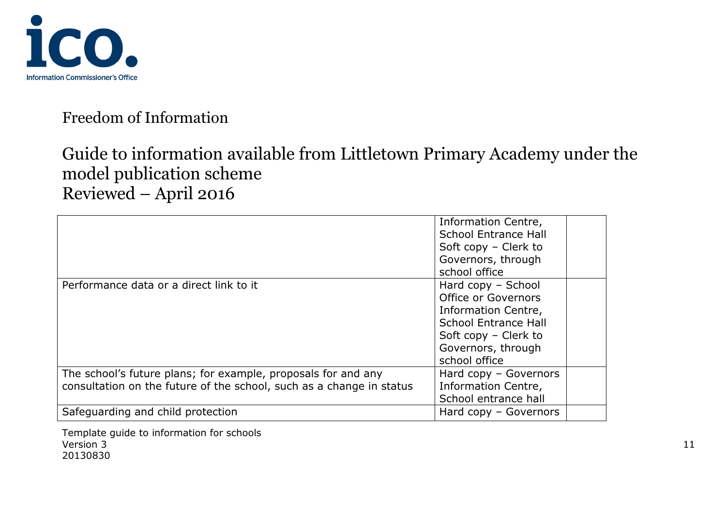

# Guide to information available from Littletown Primary Academy under the model publication scheme Reviewed – April 2016

|                                                                                                                                       | Information Centre,<br><b>School Entrance Hall</b><br>Soft copy - Clerk to<br>Governors, through<br>school office                                              |  |
|---------------------------------------------------------------------------------------------------------------------------------------|----------------------------------------------------------------------------------------------------------------------------------------------------------------|--|
| Performance data or a direct link to it                                                                                               | Hard copy - School<br>Office or Governors<br>Information Centre,<br><b>School Entrance Hall</b><br>Soft copy - Clerk to<br>Governors, through<br>school office |  |
| The school's future plans; for example, proposals for and any<br>consultation on the future of the school, such as a change in status | Hard copy - Governors<br>Information Centre,<br>School entrance hall                                                                                           |  |
| Safeguarding and child protection                                                                                                     | Hard $copy - Governors$                                                                                                                                        |  |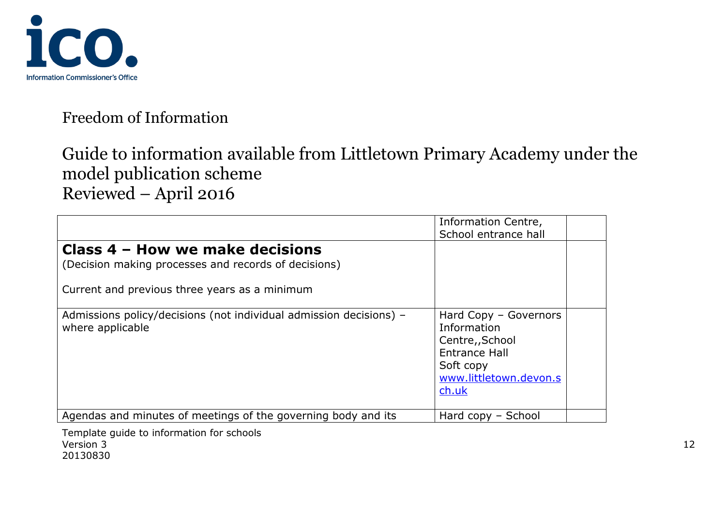

# Guide to information available from Littletown Primary Academy under the model publication scheme Reviewed – April 2016

|                                                                                         | Information Centre,<br>School entrance hall                                                                                     |
|-----------------------------------------------------------------------------------------|---------------------------------------------------------------------------------------------------------------------------------|
| Class 4 – How we make decisions<br>(Decision making processes and records of decisions) |                                                                                                                                 |
| Current and previous three years as a minimum                                           |                                                                                                                                 |
| Admissions policy/decisions (not individual admission decisions) -<br>where applicable  | Hard Copy - Governors<br>Information<br>Centre,, School<br><b>Entrance Hall</b><br>Soft copy<br>www.littletown.devon.s<br>ch.uk |
| Agendas and minutes of meetings of the governing body and its                           | Hard copy - School                                                                                                              |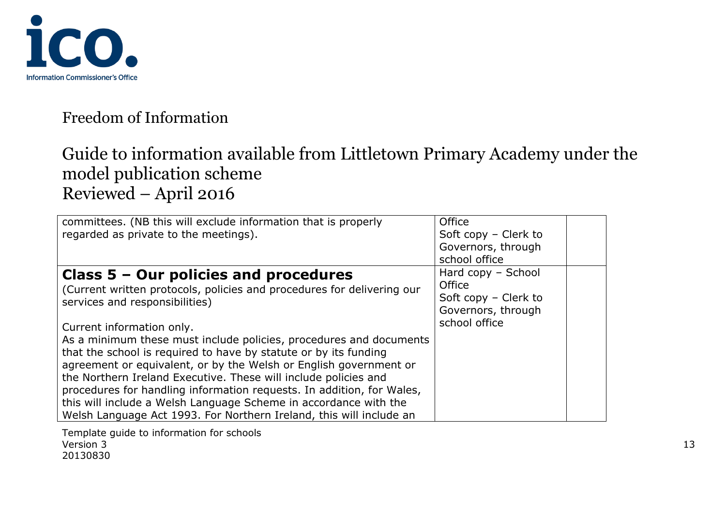

# Guide to information available from Littletown Primary Academy under the model publication scheme Reviewed – April 2016

| committees. (NB this will exclude information that is properly         | Office                 |
|------------------------------------------------------------------------|------------------------|
| regarded as private to the meetings).                                  | Soft copy $-$ Clerk to |
|                                                                        | Governors, through     |
|                                                                        | school office          |
| Class $5 -$ Our policies and procedures                                | Hard copy - School     |
| (Current written protocols, policies and procedures for delivering our | Office                 |
| services and responsibilities)                                         | Soft copy - Clerk to   |
|                                                                        | Governors, through     |
| Current information only.                                              | school office          |
| As a minimum these must include policies, procedures and documents     |                        |
| that the school is required to have by statute or by its funding       |                        |
| agreement or equivalent, or by the Welsh or English government or      |                        |
| the Northern Ireland Executive. These will include policies and        |                        |
| procedures for handling information requests. In addition, for Wales,  |                        |
| this will include a Welsh Language Scheme in accordance with the       |                        |
| Welsh Language Act 1993. For Northern Ireland, this will include an    |                        |
|                                                                        |                        |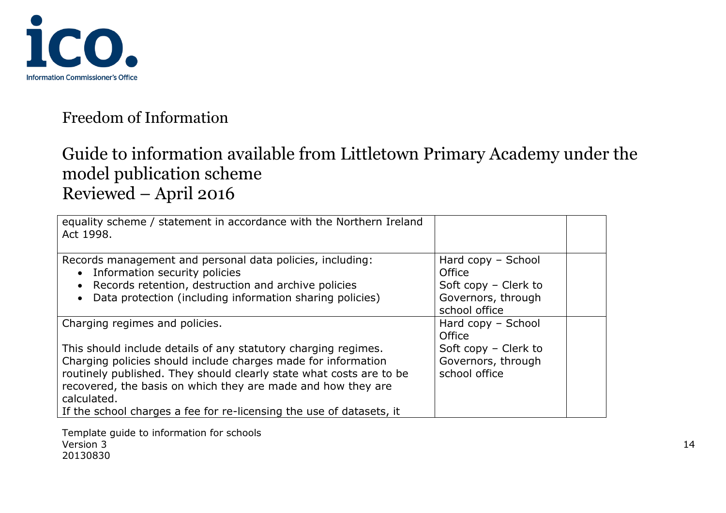

# Guide to information available from Littletown Primary Academy under the model publication scheme Reviewed – April 2016

| equality scheme / statement in accordance with the Northern Ireland<br>Act 1998.                                                                                                                                                                                                                                                                              |                                                                                             |
|---------------------------------------------------------------------------------------------------------------------------------------------------------------------------------------------------------------------------------------------------------------------------------------------------------------------------------------------------------------|---------------------------------------------------------------------------------------------|
| Records management and personal data policies, including:<br>• Information security policies<br>• Records retention, destruction and archive policies<br>Data protection (including information sharing policies)                                                                                                                                             | Hard copy - School<br>Office<br>Soft copy - Clerk to<br>Governors, through<br>school office |
| Charging regimes and policies.                                                                                                                                                                                                                                                                                                                                | Hard copy - School<br>Office                                                                |
| This should include details of any statutory charging regimes.<br>Charging policies should include charges made for information<br>routinely published. They should clearly state what costs are to be<br>recovered, the basis on which they are made and how they are<br>calculated.<br>If the school charges a fee for re-licensing the use of datasets, it | Soft copy - Clerk to<br>Governors, through<br>school office                                 |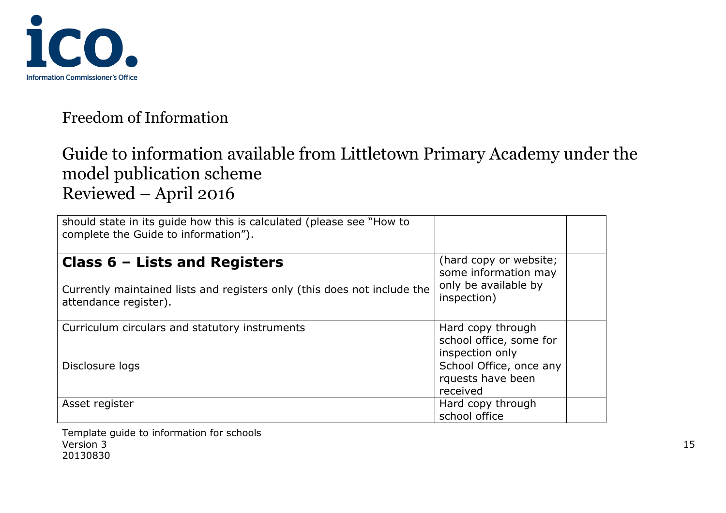

# Guide to information available from Littletown Primary Academy under the model publication scheme Reviewed – April 2016

| should state in its guide how this is calculated (please see "How to<br>complete the Guide to information"). |                                     |  |
|--------------------------------------------------------------------------------------------------------------|-------------------------------------|--|
| (hard copy or website;<br>Class $6$ – Lists and Registers<br>some information may                            |                                     |  |
| Currently maintained lists and registers only (this does not include the<br>attendance register).            | only be available by<br>inspection) |  |
| Curriculum circulars and statutory instruments                                                               | Hard copy through                   |  |
|                                                                                                              | school office, some for             |  |
|                                                                                                              | inspection only                     |  |
| Disclosure logs                                                                                              | School Office, once any             |  |
|                                                                                                              | rquests have been                   |  |
|                                                                                                              | received                            |  |
| Asset register                                                                                               | Hard copy through                   |  |
|                                                                                                              | school office                       |  |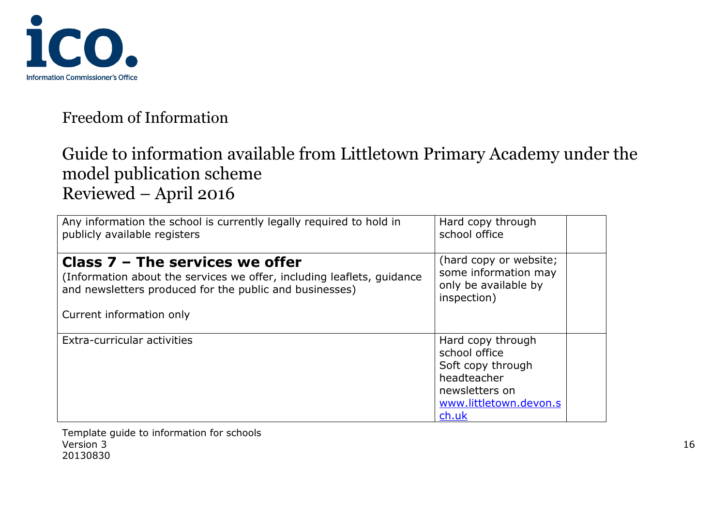

# Guide to information available from Littletown Primary Academy under the model publication scheme Reviewed – April 2016

| Any information the school is currently legally required to hold in    | Hard copy through                                                                                                           |
|------------------------------------------------------------------------|-----------------------------------------------------------------------------------------------------------------------------|
| publicly available registers                                           | school office                                                                                                               |
| Class $7$ – The services we offer                                      | (hard copy or website;                                                                                                      |
| (Information about the services we offer, including leaflets, quidance | some information may                                                                                                        |
| and newsletters produced for the public and businesses)                | only be available by                                                                                                        |
| Current information only                                               | inspection)                                                                                                                 |
| Extra-curricular activities                                            | Hard copy through<br>school office<br>Soft copy through<br>headteacher<br>newsletters on<br>www.littletown.devon.s<br>ch.uk |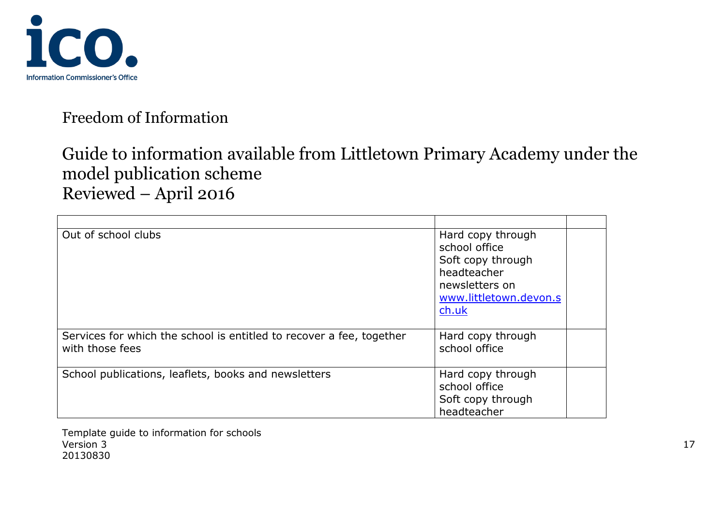

# Guide to information available from Littletown Primary Academy under the model publication scheme Reviewed – April 2016

| Out of school clubs                                                                     | Hard copy through<br>school office<br>Soft copy through<br>headteacher<br>newsletters on<br>www.littletown.devon.s<br>ch.uk |
|-----------------------------------------------------------------------------------------|-----------------------------------------------------------------------------------------------------------------------------|
| Services for which the school is entitled to recover a fee, together<br>with those fees | Hard copy through<br>school office                                                                                          |
| School publications, leaflets, books and newsletters                                    | Hard copy through<br>school office<br>Soft copy through<br>headteacher                                                      |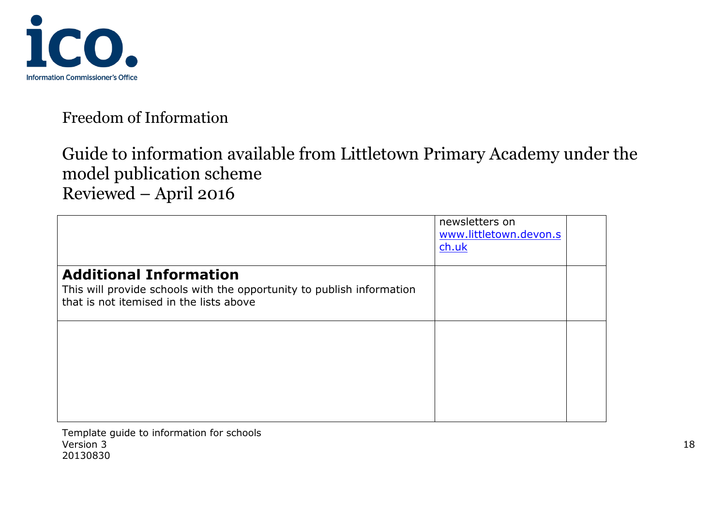

# Guide to information available from Littletown Primary Academy under the model publication scheme Reviewed – April 2016

|                                                                                                                                                   | newsletters on<br>www.littletown.devon.s<br>ch.uk |  |
|---------------------------------------------------------------------------------------------------------------------------------------------------|---------------------------------------------------|--|
| <b>Additional Information</b><br>This will provide schools with the opportunity to publish information<br>that is not itemised in the lists above |                                                   |  |
|                                                                                                                                                   |                                                   |  |
|                                                                                                                                                   |                                                   |  |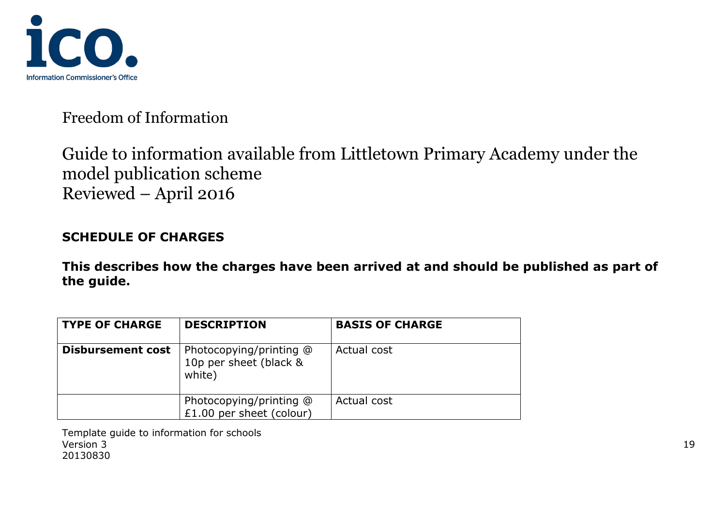

# Guide to information available from Littletown Primary Academy under the model publication scheme Reviewed – April 2016

#### **SCHEDULE OF CHARGES**

**This describes how the charges have been arrived at and should be published as part of the guide.**

| <b>TYPE OF CHARGE</b>    | <b>DESCRIPTION</b>                                          | <b>BASIS OF CHARGE</b> |
|--------------------------|-------------------------------------------------------------|------------------------|
| <b>Disbursement cost</b> | Photocopying/printing @<br>10p per sheet (black &<br>white) | Actual cost            |
|                          | Photocopying/printing @<br>£1.00 per sheet (colour)         | Actual cost            |